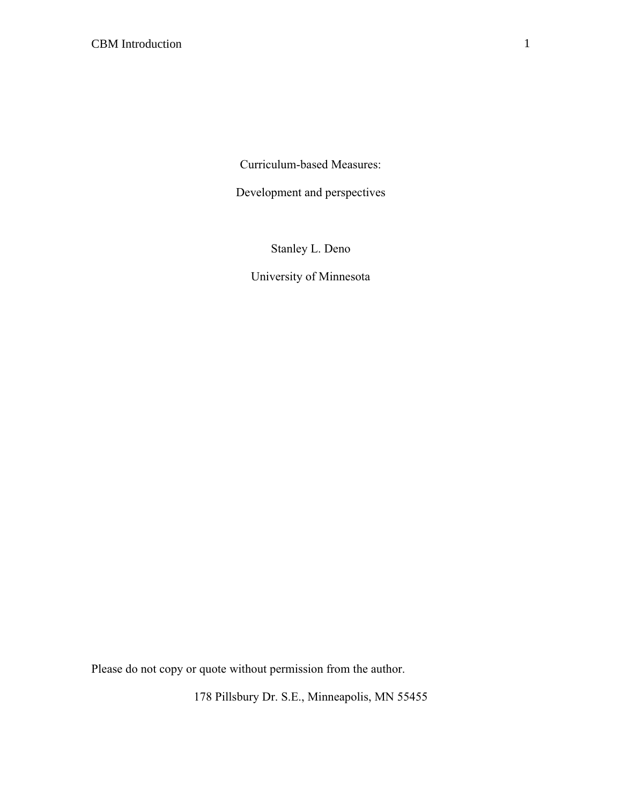Curriculum-based Measures:

Development and perspectives

Stanley L. Deno

University of Minnesota

Please do not copy or quote without permission from the author.

178 Pillsbury Dr. S.E., Minneapolis, MN 55455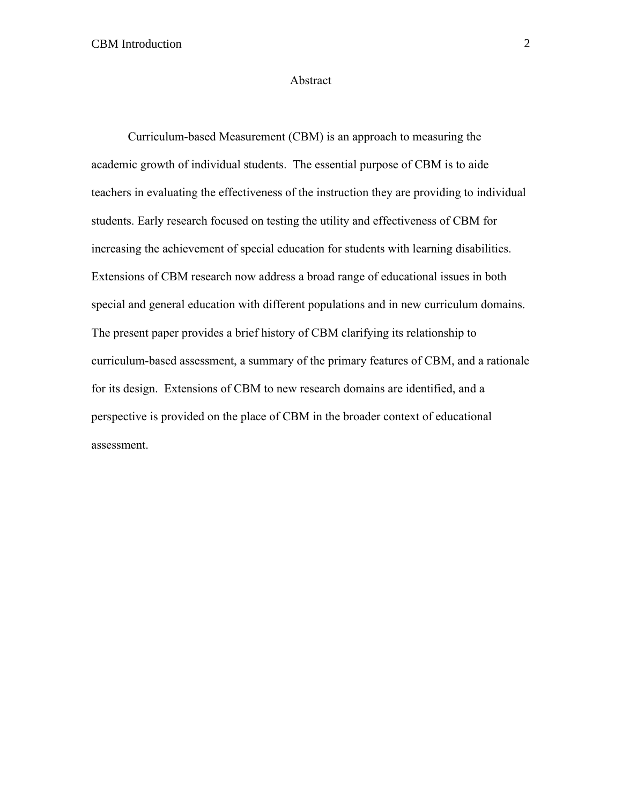#### Abstract

Curriculum-based Measurement (CBM) is an approach to measuring the academic growth of individual students. The essential purpose of CBM is to aide teachers in evaluating the effectiveness of the instruction they are providing to individual students. Early research focused on testing the utility and effectiveness of CBM for increasing the achievement of special education for students with learning disabilities. Extensions of CBM research now address a broad range of educational issues in both special and general education with different populations and in new curriculum domains. The present paper provides a brief history of CBM clarifying its relationship to curriculum-based assessment, a summary of the primary features of CBM, and a rationale for its design. Extensions of CBM to new research domains are identified, and a perspective is provided on the place of CBM in the broader context of educational assessment.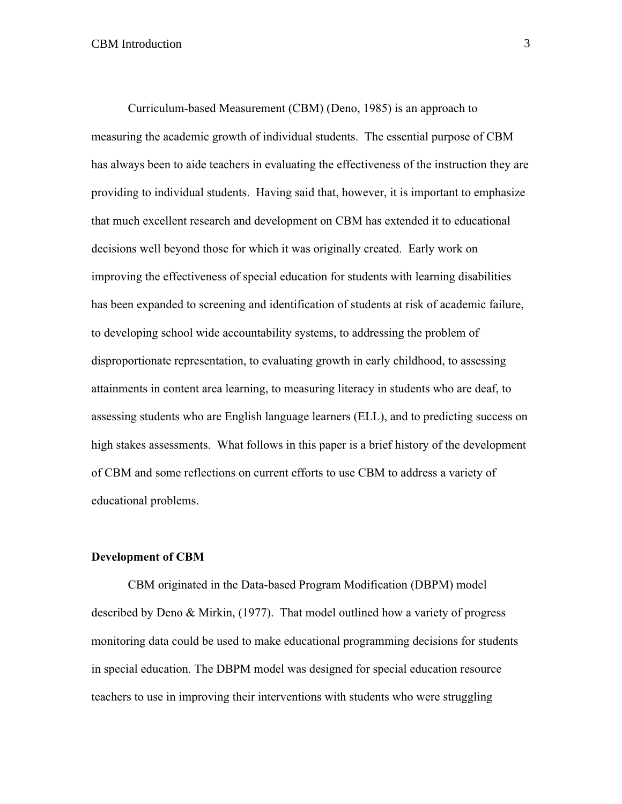Curriculum-based Measurement (CBM) (Deno, 1985) is an approach to measuring the academic growth of individual students. The essential purpose of CBM has always been to aide teachers in evaluating the effectiveness of the instruction they are providing to individual students. Having said that, however, it is important to emphasize that much excellent research and development on CBM has extended it to educational decisions well beyond those for which it was originally created. Early work on improving the effectiveness of special education for students with learning disabilities has been expanded to screening and identification of students at risk of academic failure, to developing school wide accountability systems, to addressing the problem of disproportionate representation, to evaluating growth in early childhood, to assessing attainments in content area learning, to measuring literacy in students who are deaf, to assessing students who are English language learners (ELL), and to predicting success on high stakes assessments. What follows in this paper is a brief history of the development of CBM and some reflections on current efforts to use CBM to address a variety of educational problems.

### **Development of CBM**

CBM originated in the Data-based Program Modification (DBPM) model described by Deno & Mirkin, (1977). That model outlined how a variety of progress monitoring data could be used to make educational programming decisions for students in special education. The DBPM model was designed for special education resource teachers to use in improving their interventions with students who were struggling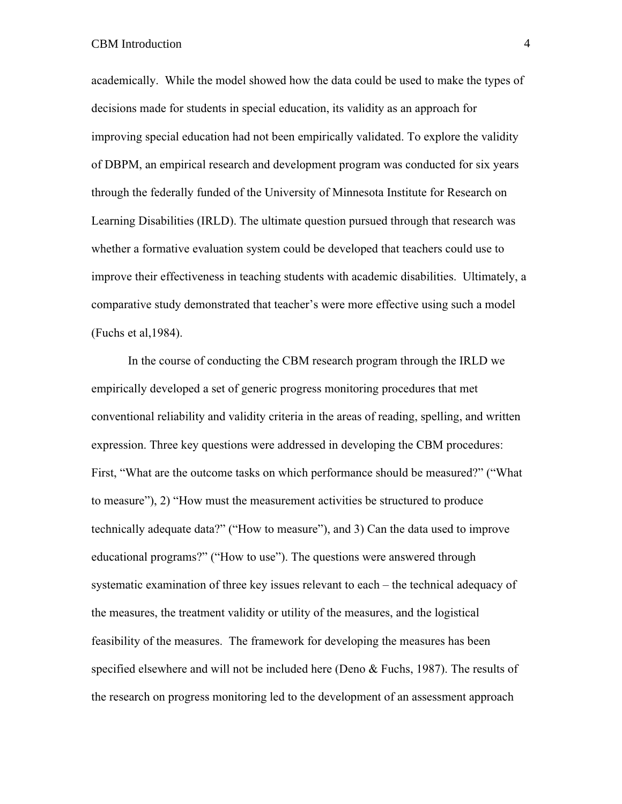academically. While the model showed how the data could be used to make the types of decisions made for students in special education, its validity as an approach for improving special education had not been empirically validated. To explore the validity of DBPM, an empirical research and development program was conducted for six years through the federally funded of the University of Minnesota Institute for Research on Learning Disabilities (IRLD). The ultimate question pursued through that research was whether a formative evaluation system could be developed that teachers could use to improve their effectiveness in teaching students with academic disabilities. Ultimately, a comparative study demonstrated that teacher's were more effective using such a model (Fuchs et al,1984).

In the course of conducting the CBM research program through the IRLD we empirically developed a set of generic progress monitoring procedures that met conventional reliability and validity criteria in the areas of reading, spelling, and written expression. Three key questions were addressed in developing the CBM procedures: First, "What are the outcome tasks on which performance should be measured?" ("What to measure"), 2) "How must the measurement activities be structured to produce technically adequate data?" ("How to measure"), and 3) Can the data used to improve educational programs?" ("How to use"). The questions were answered through systematic examination of three key issues relevant to each – the technical adequacy of the measures, the treatment validity or utility of the measures, and the logistical feasibility of the measures. The framework for developing the measures has been specified elsewhere and will not be included here (Deno  $\&$  Fuchs, 1987). The results of the research on progress monitoring led to the development of an assessment approach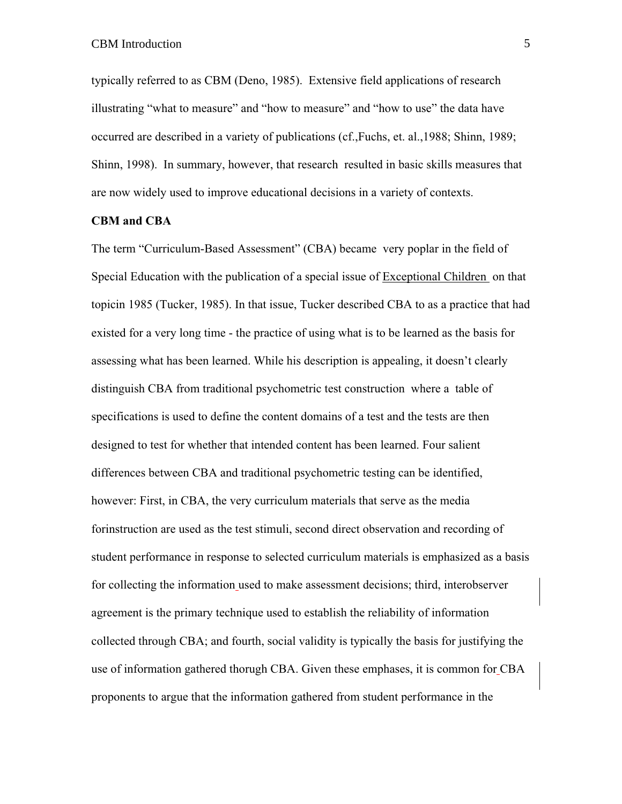typically referred to as CBM (Deno, 1985). Extensive field applications of research illustrating "what to measure" and "how to measure" and "how to use" the data have occurred are described in a variety of publications (cf.,Fuchs, et. al.,1988; Shinn, 1989; Shinn, 1998). In summary, however, that research resulted in basic skills measures that are now widely used to improve educational decisions in a variety of contexts.

### **CBM and CBA**

The term "Curriculum-Based Assessment" (CBA) became very poplar in the field of Special Education with the publication of a special issue of Exceptional Children on that topicin 1985 (Tucker, 1985). In that issue, Tucker described CBA to as a practice that had existed for a very long time - the practice of using what is to be learned as the basis for assessing what has been learned. While his description is appealing, it doesn't clearly distinguish CBA from traditional psychometric test construction where a table of specifications is used to define the content domains of a test and the tests are then designed to test for whether that intended content has been learned. Four salient differences between CBA and traditional psychometric testing can be identified, however: First, in CBA, the very curriculum materials that serve as the media forinstruction are used as the test stimuli, second direct observation and recording of student performance in response to selected curriculum materials is emphasized as a basis for collecting the information used to make assessment decisions; third, interobserver agreement is the primary technique used to establish the reliability of information collected through CBA; and fourth, social validity is typically the basis for justifying the use of information gathered thorugh CBA. Given these emphases, it is common for CBA proponents to argue that the information gathered from student performance in the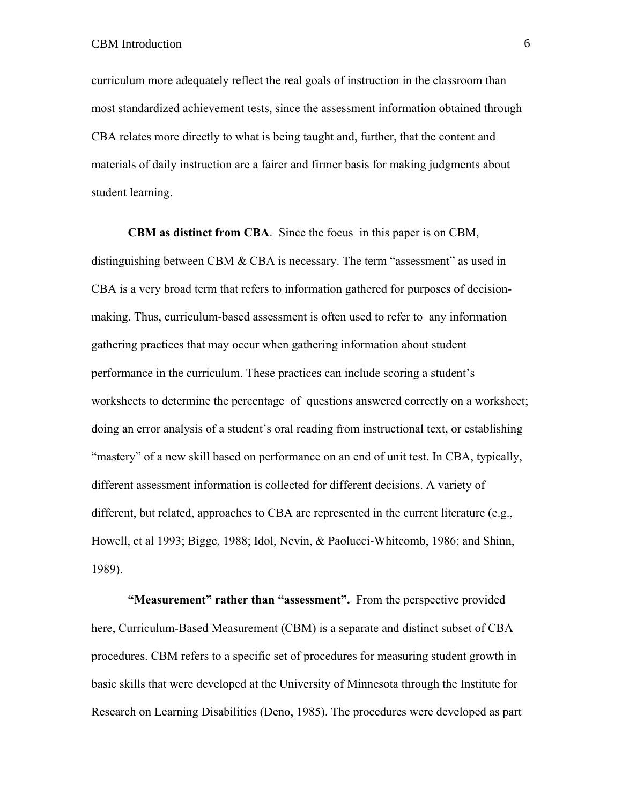curriculum more adequately reflect the real goals of instruction in the classroom than most standardized achievement tests, since the assessment information obtained through CBA relates more directly to what is being taught and, further, that the content and materials of daily instruction are a fairer and firmer basis for making judgments about student learning.

**CBM as distinct from CBA**. Since the focus in this paper is on CBM, distinguishing between CBM  $&$  CBA is necessary. The term "assessment" as used in CBA is a very broad term that refers to information gathered for purposes of decisionmaking. Thus, curriculum-based assessment is often used to refer to any information gathering practices that may occur when gathering information about student performance in the curriculum. These practices can include scoring a student's worksheets to determine the percentage of questions answered correctly on a worksheet; doing an error analysis of a student's oral reading from instructional text, or establishing "mastery" of a new skill based on performance on an end of unit test. In CBA, typically, different assessment information is collected for different decisions. A variety of different, but related, approaches to CBA are represented in the current literature (e.g., Howell, et al 1993; Bigge, 1988; Idol, Nevin, & Paolucci-Whitcomb, 1986; and Shinn, 1989).

**"Measurement" rather than "assessment".** From the perspective provided here, Curriculum-Based Measurement (CBM) is a separate and distinct subset of CBA procedures. CBM refers to a specific set of procedures for measuring student growth in basic skills that were developed at the University of Minnesota through the Institute for Research on Learning Disabilities (Deno, 1985). The procedures were developed as part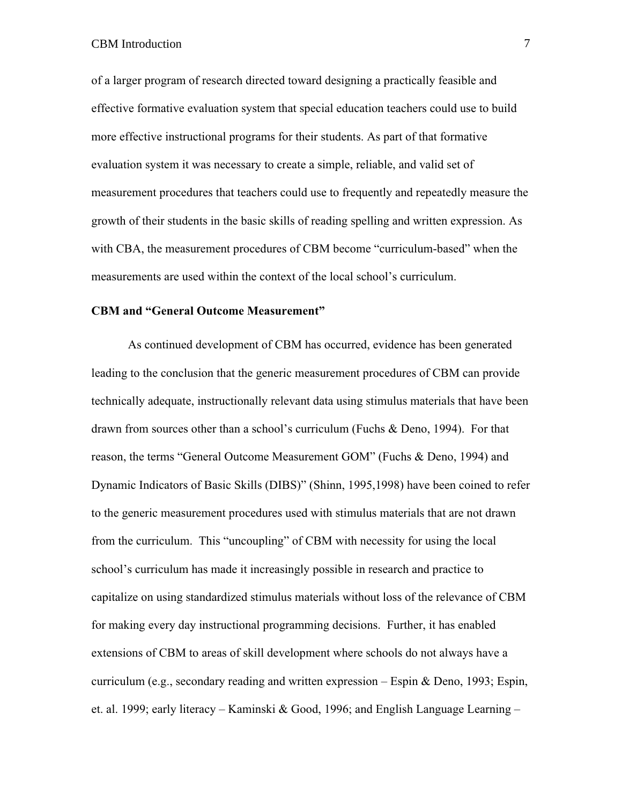of a larger program of research directed toward designing a practically feasible and effective formative evaluation system that special education teachers could use to build more effective instructional programs for their students. As part of that formative evaluation system it was necessary to create a simple, reliable, and valid set of measurement procedures that teachers could use to frequently and repeatedly measure the growth of their students in the basic skills of reading spelling and written expression. As with CBA, the measurement procedures of CBM become "curriculum-based" when the measurements are used within the context of the local school's curriculum.

# **CBM and "General Outcome Measurement"**

As continued development of CBM has occurred, evidence has been generated leading to the conclusion that the generic measurement procedures of CBM can provide technically adequate, instructionally relevant data using stimulus materials that have been drawn from sources other than a school's curriculum (Fuchs & Deno, 1994). For that reason, the terms "General Outcome Measurement GOM" (Fuchs & Deno, 1994) and Dynamic Indicators of Basic Skills (DIBS)" (Shinn, 1995,1998) have been coined to refer to the generic measurement procedures used with stimulus materials that are not drawn from the curriculum. This "uncoupling" of CBM with necessity for using the local school's curriculum has made it increasingly possible in research and practice to capitalize on using standardized stimulus materials without loss of the relevance of CBM for making every day instructional programming decisions. Further, it has enabled extensions of CBM to areas of skill development where schools do not always have a curriculum (e.g., secondary reading and written expression – Espin & Deno, 1993; Espin, et. al. 1999; early literacy – Kaminski & Good, 1996; and English Language Learning –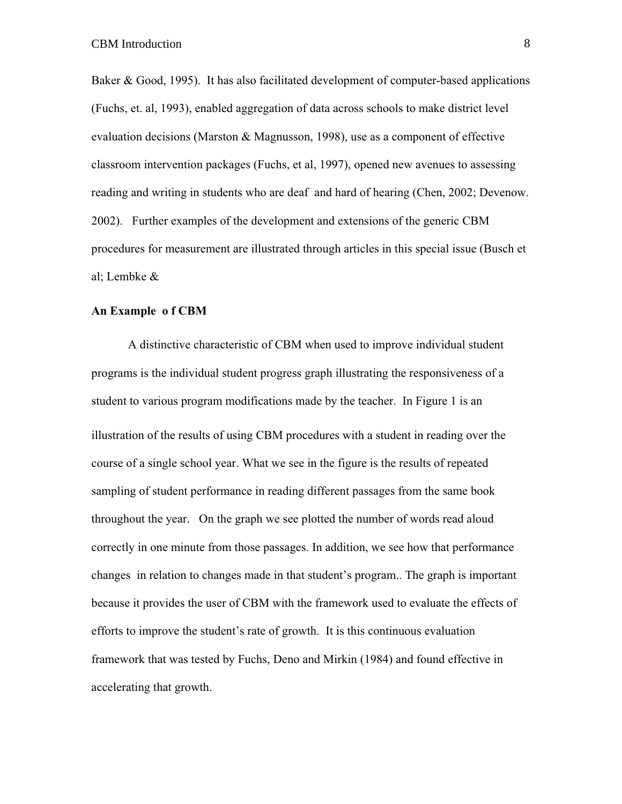Baker & Good, 1995). It has also facilitated development of computer-based applications (Fuchs, et. al, 1993), enabled aggregation of data across schools to make district level evaluation decisions (Marston  $\&$  Magnusson, 1998), use as a component of effective classroom intervention packages (Fuchs, et al, 1997), opened new avenues to assessing reading and writing in students who are deaf and hard of hearing (Chen, 2002; Devenow. 2002). Further examples of the development and extensions of the generic CBM procedures for measurement are illustrated through articles in this special issue (Busch et al; Lembke &

### **An Example o f CBM**

A distinctive characteristic of CBM when used to improve individual student programs is the individual student progress graph illustrating the responsiveness of a student to various program modifications made by the teacher. In Figure 1 is an illustration of the results of using CBM procedures with a student in reading over the course of a single school year. What we see in the figure is the results of repeated sampling of student performance in reading different passages from the same book throughout the year. On the graph we see plotted the number of words read aloud correctly in one minute from those passages. In addition, we see how that performance changes in relation to changes made in that student's program.. The graph is important because it provides the user of CBM with the framework used to evaluate the effects of efforts to improve the student's rate of growth. It is this continuous evaluation framework that was tested by Fuchs, Deno and Mirkin (1984) and found effective in accelerating that growth.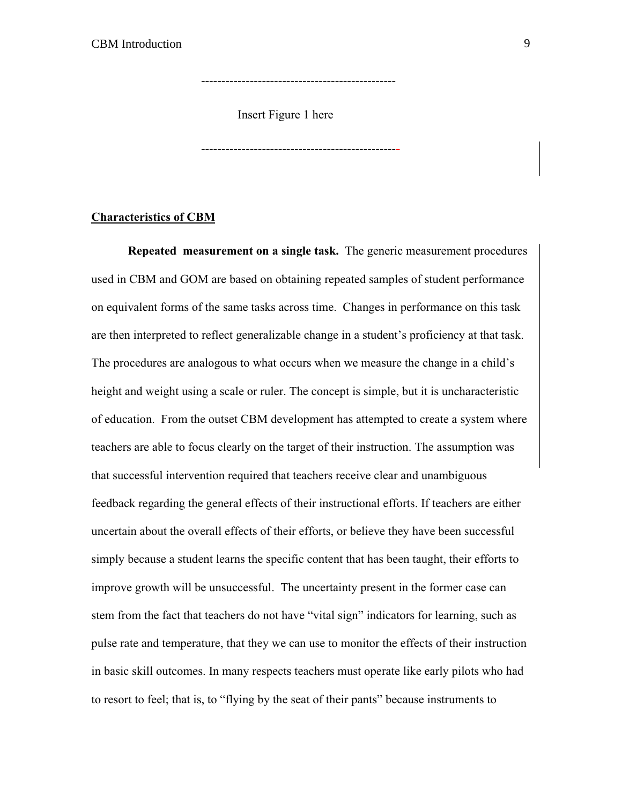Insert Figure 1 here

------------------------------------------------

-------------------------------------------------

## **Characteristics of CBM**

**Repeated measurement on a single task.** The generic measurement procedures used in CBM and GOM are based on obtaining repeated samples of student performance on equivalent forms of the same tasks across time. Changes in performance on this task are then interpreted to reflect generalizable change in a student's proficiency at that task. The procedures are analogous to what occurs when we measure the change in a child's height and weight using a scale or ruler. The concept is simple, but it is uncharacteristic of education. From the outset CBM development has attempted to create a system where teachers are able to focus clearly on the target of their instruction. The assumption was that successful intervention required that teachers receive clear and unambiguous feedback regarding the general effects of their instructional efforts. If teachers are either uncertain about the overall effects of their efforts, or believe they have been successful simply because a student learns the specific content that has been taught, their efforts to improve growth will be unsuccessful. The uncertainty present in the former case can stem from the fact that teachers do not have "vital sign" indicators for learning, such as pulse rate and temperature, that they we can use to monitor the effects of their instruction in basic skill outcomes. In many respects teachers must operate like early pilots who had to resort to feel; that is, to "flying by the seat of their pants" because instruments to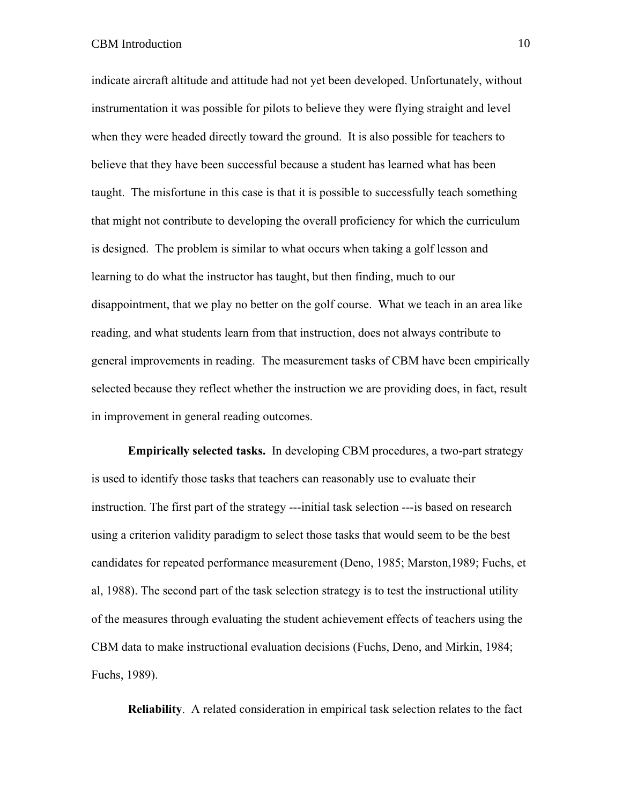# CBM Introduction 10

indicate aircraft altitude and attitude had not yet been developed. Unfortunately, without instrumentation it was possible for pilots to believe they were flying straight and level when they were headed directly toward the ground. It is also possible for teachers to believe that they have been successful because a student has learned what has been taught. The misfortune in this case is that it is possible to successfully teach something that might not contribute to developing the overall proficiency for which the curriculum is designed. The problem is similar to what occurs when taking a golf lesson and learning to do what the instructor has taught, but then finding, much to our disappointment, that we play no better on the golf course. What we teach in an area like reading, and what students learn from that instruction, does not always contribute to general improvements in reading. The measurement tasks of CBM have been empirically selected because they reflect whether the instruction we are providing does, in fact, result in improvement in general reading outcomes.

**Empirically selected tasks.** In developing CBM procedures, a two-part strategy is used to identify those tasks that teachers can reasonably use to evaluate their instruction. The first part of the strategy ---initial task selection ---is based on research using a criterion validity paradigm to select those tasks that would seem to be the best candidates for repeated performance measurement (Deno, 1985; Marston,1989; Fuchs, et al, 1988). The second part of the task selection strategy is to test the instructional utility of the measures through evaluating the student achievement effects of teachers using the CBM data to make instructional evaluation decisions (Fuchs, Deno, and Mirkin, 1984; Fuchs, 1989).

**Reliability**. A related consideration in empirical task selection relates to the fact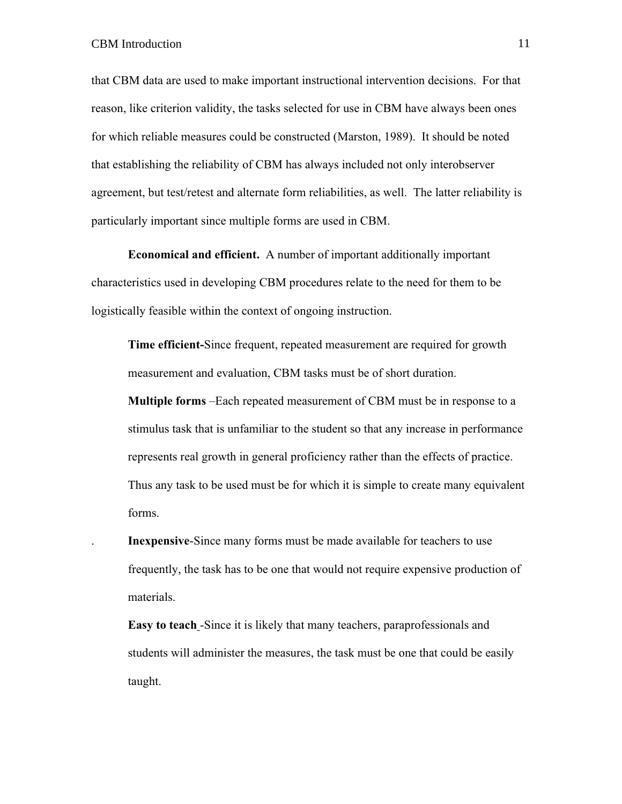that CBM data are used to make important instructional intervention decisions. For that reason, like criterion validity, the tasks selected for use in CBM have always been ones for which reliable measures could be constructed (Marston, 1989). It should be noted that establishing the reliability of CBM has always included not only interobserver agreement, but test/retest and alternate form reliabilities, as well. The latter reliability is particularly important since multiple forms are used in CBM.

**Economical and efficient.** A number of important additionally important characteristics used in developing CBM procedures relate to the need for them to be logistically feasible within the context of ongoing instruction.

**Time efficient-**Since frequent, repeated measurement are required for growth measurement and evaluation, CBM tasks must be of short duration.

**Multiple forms** –Each repeated measurement of CBM must be in response to a stimulus task that is unfamiliar to the student so that any increase in performance represents real growth in general proficiency rather than the effects of practice. Thus any task to be used must be for which it is simple to create many equivalent forms.

. **Inexpensive**-Since many forms must be made available for teachers to use frequently, the task has to be one that would not require expensive production of materials.

**Easy to teach** -Since it is likely that many teachers, paraprofessionals and students will administer the measures, the task must be one that could be easily taught.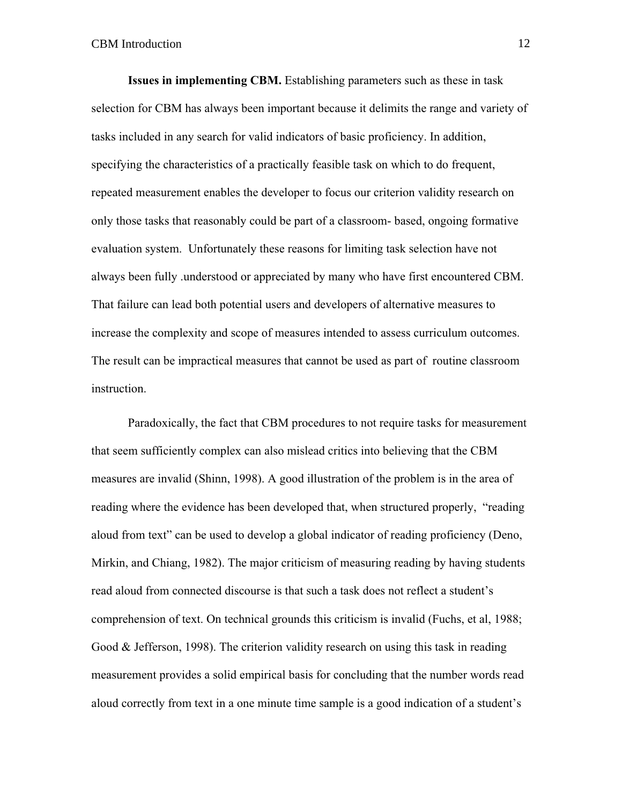**Issues in implementing CBM.** Establishing parameters such as these in task selection for CBM has always been important because it delimits the range and variety of tasks included in any search for valid indicators of basic proficiency. In addition, specifying the characteristics of a practically feasible task on which to do frequent, repeated measurement enables the developer to focus our criterion validity research on only those tasks that reasonably could be part of a classroom- based, ongoing formative evaluation system. Unfortunately these reasons for limiting task selection have not always been fully .understood or appreciated by many who have first encountered CBM. That failure can lead both potential users and developers of alternative measures to increase the complexity and scope of measures intended to assess curriculum outcomes. The result can be impractical measures that cannot be used as part of routine classroom instruction.

Paradoxically, the fact that CBM procedures to not require tasks for measurement that seem sufficiently complex can also mislead critics into believing that the CBM measures are invalid (Shinn, 1998). A good illustration of the problem is in the area of reading where the evidence has been developed that, when structured properly, "reading aloud from text" can be used to develop a global indicator of reading proficiency (Deno, Mirkin, and Chiang, 1982). The major criticism of measuring reading by having students read aloud from connected discourse is that such a task does not reflect a student's comprehension of text. On technical grounds this criticism is invalid (Fuchs, et al, 1988; Good & Jefferson, 1998). The criterion validity research on using this task in reading measurement provides a solid empirical basis for concluding that the number words read aloud correctly from text in a one minute time sample is a good indication of a student's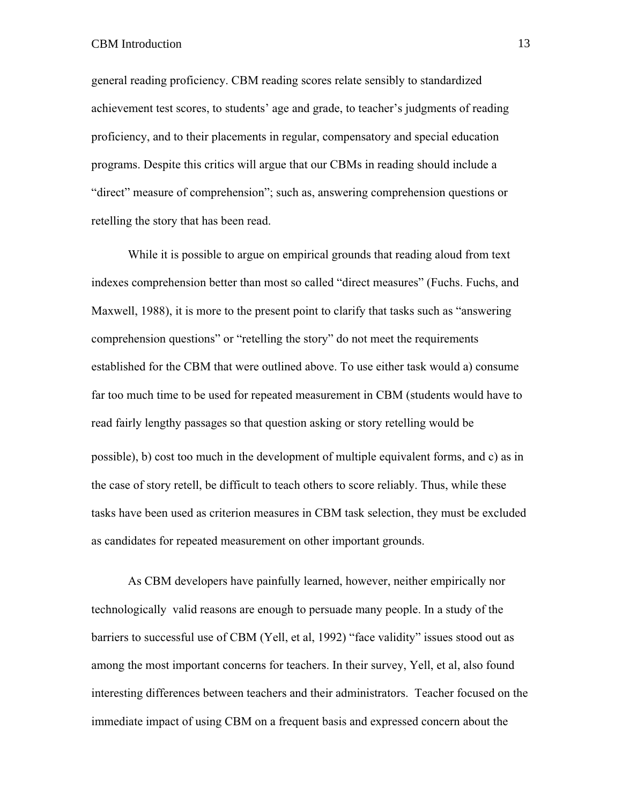# CBM Introduction 13

general reading proficiency. CBM reading scores relate sensibly to standardized achievement test scores, to students' age and grade, to teacher's judgments of reading proficiency, and to their placements in regular, compensatory and special education programs. Despite this critics will argue that our CBMs in reading should include a "direct" measure of comprehension"; such as, answering comprehension questions or retelling the story that has been read.

While it is possible to argue on empirical grounds that reading aloud from text indexes comprehension better than most so called "direct measures" (Fuchs. Fuchs, and Maxwell, 1988), it is more to the present point to clarify that tasks such as "answering comprehension questions" or "retelling the story" do not meet the requirements established for the CBM that were outlined above. To use either task would a) consume far too much time to be used for repeated measurement in CBM (students would have to read fairly lengthy passages so that question asking or story retelling would be possible), b) cost too much in the development of multiple equivalent forms, and c) as in the case of story retell, be difficult to teach others to score reliably. Thus, while these tasks have been used as criterion measures in CBM task selection, they must be excluded as candidates for repeated measurement on other important grounds.

As CBM developers have painfully learned, however, neither empirically nor technologically valid reasons are enough to persuade many people. In a study of the barriers to successful use of CBM (Yell, et al, 1992) "face validity" issues stood out as among the most important concerns for teachers. In their survey, Yell, et al, also found interesting differences between teachers and their administrators. Teacher focused on the immediate impact of using CBM on a frequent basis and expressed concern about the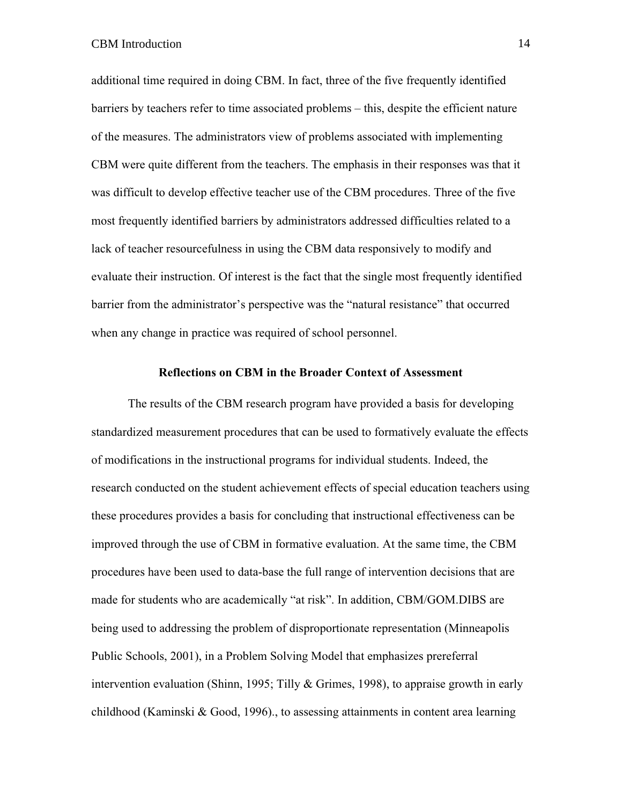additional time required in doing CBM. In fact, three of the five frequently identified barriers by teachers refer to time associated problems – this, despite the efficient nature of the measures. The administrators view of problems associated with implementing CBM were quite different from the teachers. The emphasis in their responses was that it was difficult to develop effective teacher use of the CBM procedures. Three of the five most frequently identified barriers by administrators addressed difficulties related to a lack of teacher resourcefulness in using the CBM data responsively to modify and evaluate their instruction. Of interest is the fact that the single most frequently identified barrier from the administrator's perspective was the "natural resistance" that occurred when any change in practice was required of school personnel.

#### **Reflections on CBM in the Broader Context of Assessment**

The results of the CBM research program have provided a basis for developing standardized measurement procedures that can be used to formatively evaluate the effects of modifications in the instructional programs for individual students. Indeed, the research conducted on the student achievement effects of special education teachers using these procedures provides a basis for concluding that instructional effectiveness can be improved through the use of CBM in formative evaluation. At the same time, the CBM procedures have been used to data-base the full range of intervention decisions that are made for students who are academically "at risk". In addition, CBM/GOM.DIBS are being used to addressing the problem of disproportionate representation (Minneapolis Public Schools, 2001), in a Problem Solving Model that emphasizes prereferral intervention evaluation (Shinn, 1995; Tilly & Grimes, 1998), to appraise growth in early childhood (Kaminski & Good, 1996)., to assessing attainments in content area learning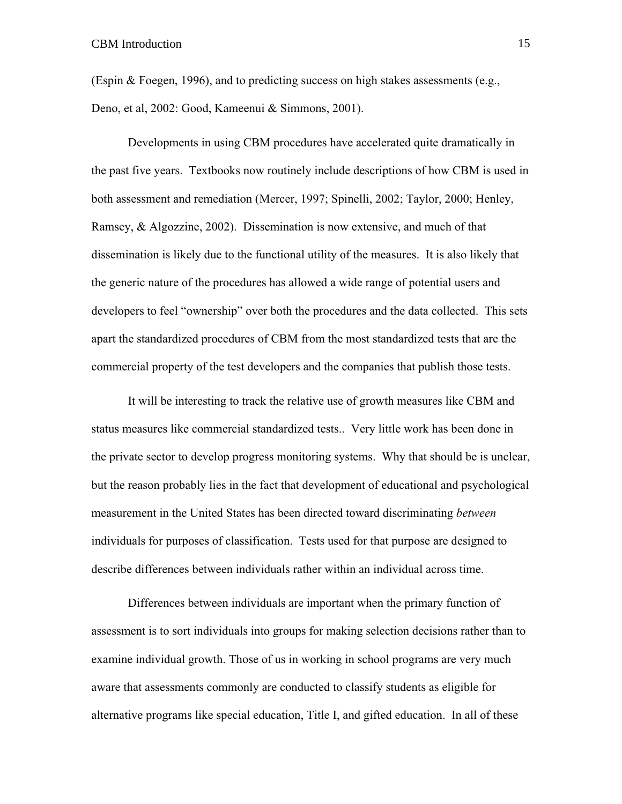(Espin & Foegen, 1996), and to predicting success on high stakes assessments (e.g., Deno, et al, 2002: Good, Kameenui & Simmons, 2001).

Developments in using CBM procedures have accelerated quite dramatically in the past five years. Textbooks now routinely include descriptions of how CBM is used in both assessment and remediation (Mercer, 1997; Spinelli, 2002; Taylor, 2000; Henley, Ramsey, & Algozzine, 2002). Dissemination is now extensive, and much of that dissemination is likely due to the functional utility of the measures. It is also likely that the generic nature of the procedures has allowed a wide range of potential users and developers to feel "ownership" over both the procedures and the data collected. This sets apart the standardized procedures of CBM from the most standardized tests that are the commercial property of the test developers and the companies that publish those tests.

It will be interesting to track the relative use of growth measures like CBM and status measures like commercial standardized tests.. Very little work has been done in the private sector to develop progress monitoring systems. Why that should be is unclear, but the reason probably lies in the fact that development of educational and psychological measurement in the United States has been directed toward discriminating *between* individuals for purposes of classification. Tests used for that purpose are designed to describe differences between individuals rather within an individual across time.

Differences between individuals are important when the primary function of assessment is to sort individuals into groups for making selection decisions rather than to examine individual growth. Those of us in working in school programs are very much aware that assessments commonly are conducted to classify students as eligible for alternative programs like special education, Title I, and gifted education. In all of these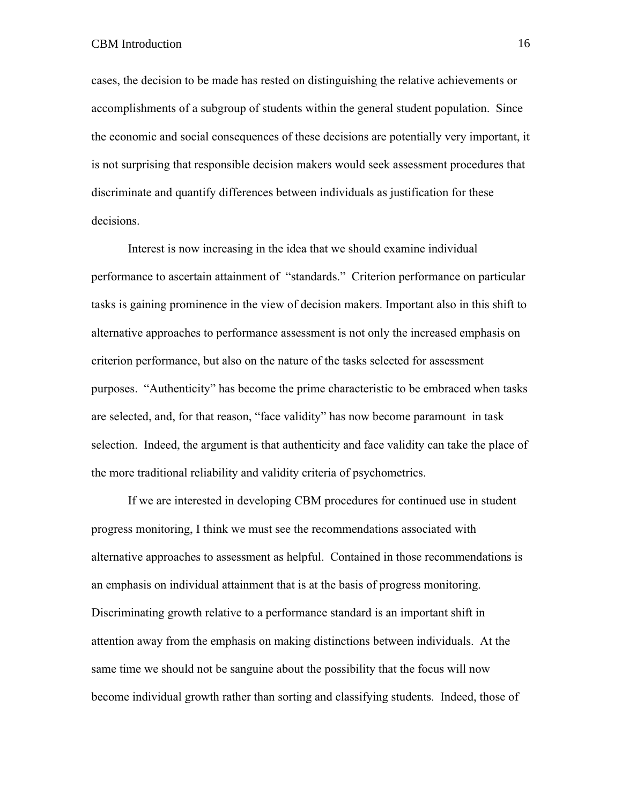cases, the decision to be made has rested on distinguishing the relative achievements or accomplishments of a subgroup of students within the general student population. Since the economic and social consequences of these decisions are potentially very important, it is not surprising that responsible decision makers would seek assessment procedures that discriminate and quantify differences between individuals as justification for these decisions.

Interest is now increasing in the idea that we should examine individual performance to ascertain attainment of "standards." Criterion performance on particular tasks is gaining prominence in the view of decision makers. Important also in this shift to alternative approaches to performance assessment is not only the increased emphasis on criterion performance, but also on the nature of the tasks selected for assessment purposes. "Authenticity" has become the prime characteristic to be embraced when tasks are selected, and, for that reason, "face validity" has now become paramount in task selection. Indeed, the argument is that authenticity and face validity can take the place of the more traditional reliability and validity criteria of psychometrics.

If we are interested in developing CBM procedures for continued use in student progress monitoring, I think we must see the recommendations associated with alternative approaches to assessment as helpful. Contained in those recommendations is an emphasis on individual attainment that is at the basis of progress monitoring. Discriminating growth relative to a performance standard is an important shift in attention away from the emphasis on making distinctions between individuals. At the same time we should not be sanguine about the possibility that the focus will now become individual growth rather than sorting and classifying students. Indeed, those of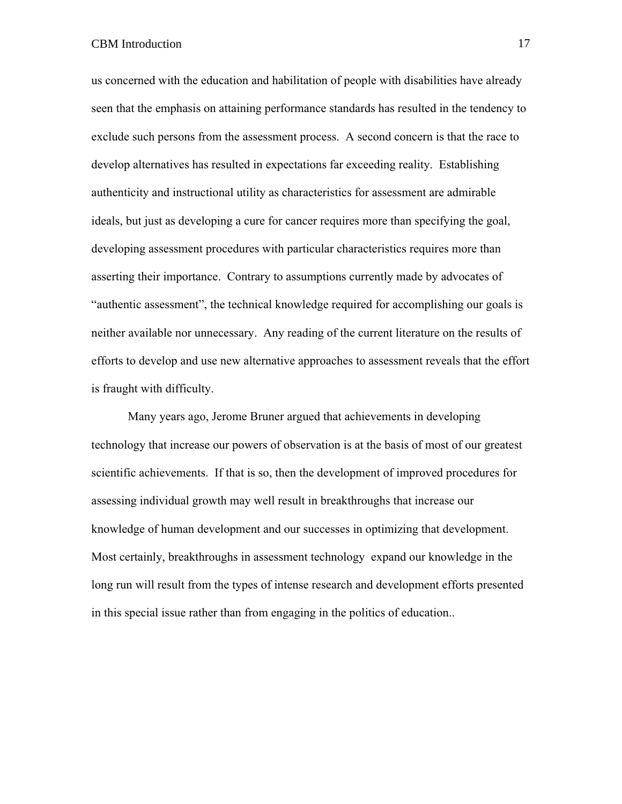us concerned with the education and habilitation of people with disabilities have already seen that the emphasis on attaining performance standards has resulted in the tendency to exclude such persons from the assessment process. A second concern is that the race to develop alternatives has resulted in expectations far exceeding reality. Establishing authenticity and instructional utility as characteristics for assessment are admirable ideals, but just as developing a cure for cancer requires more than specifying the goal, developing assessment procedures with particular characteristics requires more than asserting their importance. Contrary to assumptions currently made by advocates of "authentic assessment", the technical knowledge required for accomplishing our goals is neither available nor unnecessary. Any reading of the current literature on the results of efforts to develop and use new alternative approaches to assessment reveals that the effort is fraught with difficulty.

Many years ago, Jerome Bruner argued that achievements in developing technology that increase our powers of observation is at the basis of most of our greatest scientific achievements. If that is so, then the development of improved procedures for assessing individual growth may well result in breakthroughs that increase our knowledge of human development and our successes in optimizing that development. Most certainly, breakthroughs in assessment technology expand our knowledge in the long run will result from the types of intense research and development efforts presented in this special issue rather than from engaging in the politics of education..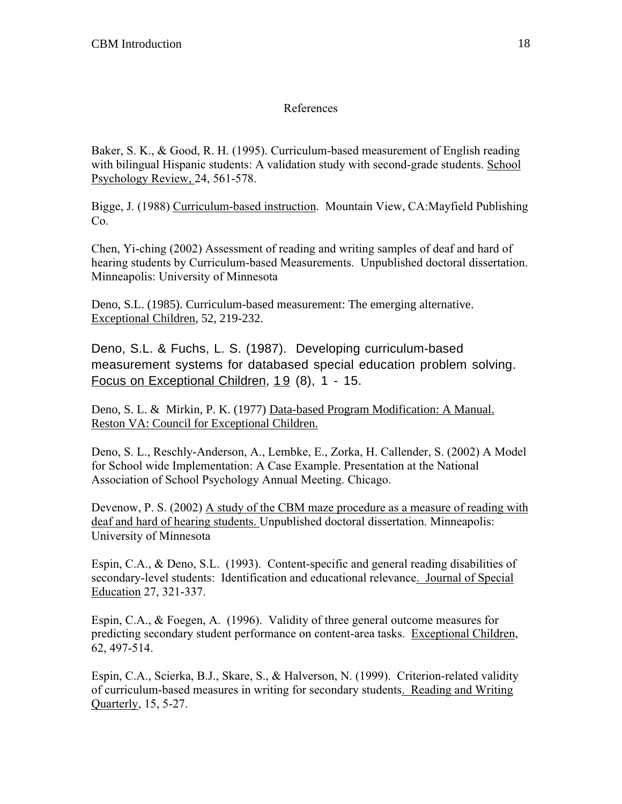# References

Baker, S. K., & Good, R. H. (1995). Curriculum-based measurement of English reading with bilingual Hispanic students: A validation study with second-grade students. School Psychology Review, 24, 561-578.

Bigge, J. (1988) Curriculum-based instruction. Mountain View, CA:Mayfield Publishing Co.

Chen, Yi-ching (2002) Assessment of reading and writing samples of deaf and hard of hearing students by Curriculum-based Measurements. Unpublished doctoral dissertation. Minneapolis: University of Minnesota

Deno, S.L. (1985). Curriculum-based measurement: The emerging alternative. Exceptional Children, 52, 219-232.

Deno, S.L. & Fuchs, L. S. (1987). Developing curriculum-based measurement systems for databased special education problem solving. Focus on Exceptional Children, 19 (8), 1 - 15.

Deno, S. L. & Mirkin, P. K. (1977) Data-based Program Modification: A Manual. Reston VA: Council for Exceptional Children.

Deno, S. L., Reschly-Anderson, A., Lembke, E., Zorka, H. Callender, S. (2002) A Model for School wide Implementation: A Case Example. Presentation at the National Association of School Psychology Annual Meeting. Chicago.

Devenow, P. S. (2002) A study of the CBM maze procedure as a measure of reading with deaf and hard of hearing students. Unpublished doctoral dissertation. Minneapolis: University of Minnesota

Espin, C.A., & Deno, S.L. (1993). Content-specific and general reading disabilities of secondary-level students: Identification and educational relevance. Journal of Special Education 27, 321-337.

Espin, C.A., & Foegen, A. (1996). Validity of three general outcome measures for predicting secondary student performance on content-area tasks. Exceptional Children, 62, 497-514.

Espin, C.A., Scierka, B.J., Skare, S., & Halverson, N. (1999). Criterion-related validity of curriculum-based measures in writing for secondary students. Reading and Writing Quarterly, 15, 5-27.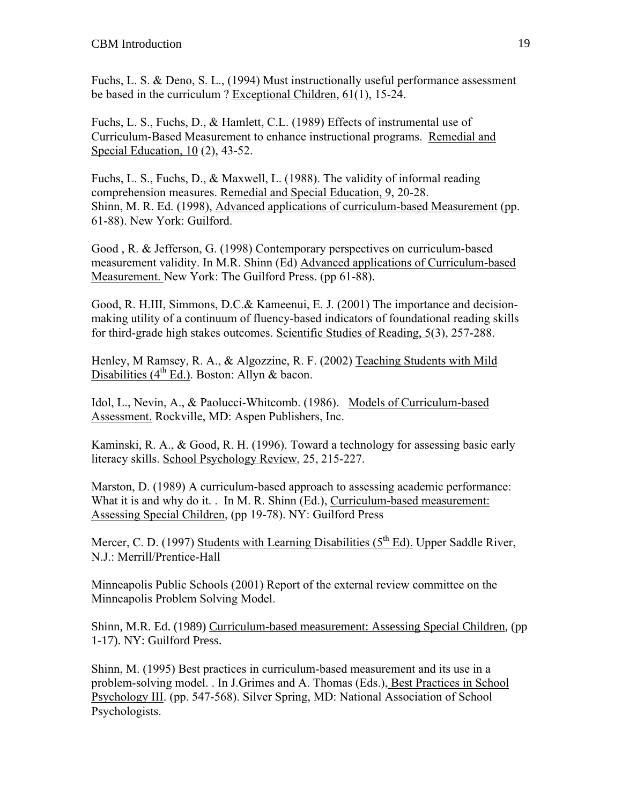Fuchs, L. S. & Deno, S. L., (1994) Must instructionally useful performance assessment be based in the curriculum ? Exceptional Children, 61(1), 15-24.

Fuchs, L. S., Fuchs, D., & Hamlett, C.L. (1989) Effects of instrumental use of Curriculum-Based Measurement to enhance instructional programs. Remedial and Special Education, 10 (2), 43-52.

Fuchs, L. S., Fuchs, D., & Maxwell, L. (1988). The validity of informal reading comprehension measures. Remedial and Special Education, 9, 20-28. Shinn, M. R. Ed. (1998), Advanced applications of curriculum-based Measurement (pp. 61-88). New York: Guilford.

Good , R. & Jefferson, G. (1998) Contemporary perspectives on curriculum-based measurement validity. In M.R. Shinn (Ed) Advanced applications of Curriculum-based Measurement. New York: The Guilford Press. (pp 61-88).

Good, R. H.III, Simmons, D.C.& Kameenui, E. J. (2001) The importance and decisionmaking utility of a continuum of fluency-based indicators of foundational reading skills for third-grade high stakes outcomes. Scientific Studies of Reading, 5(3), 257-288.

Henley, M Ramsey, R. A., & Algozzine, R. F. (2002) Teaching Students with Mild Disabilities ( $4<sup>th</sup> Ed$ .). Boston: Allyn & bacon.

Idol, L., Nevin, A., & Paolucci-Whitcomb. (1986). Models of Curriculum-based Assessment. Rockville, MD: Aspen Publishers, Inc.

Kaminski, R. A., & Good, R. H. (1996). Toward a technology for assessing basic early literacy skills. School Psychology Review, 25, 215-227.

Marston, D. (1989) A curriculum-based approach to assessing academic performance: What it is and why do it. . In M. R. Shinn (Ed.), Curriculum-based measurement: Assessing Special Children, (pp 19-78). NY: Guilford Press

Mercer, C. D. (1997) Students with Learning Disabilities (5<sup>th</sup> Ed). Upper Saddle River, N.J.: Merrill/Prentice-Hall

Minneapolis Public Schools (2001) Report of the external review committee on the Minneapolis Problem Solving Model.

Shinn, M.R. Ed. (1989) Curriculum-based measurement: Assessing Special Children, (pp 1-17). NY: Guilford Press.

Shinn, M. (1995) Best practices in curriculum-based measurement and its use in a problem-solving model. . In J.Grimes and A. Thomas (Eds.), Best Practices in School Psychology III. (pp. 547-568). Silver Spring, MD: National Association of School Psychologists.